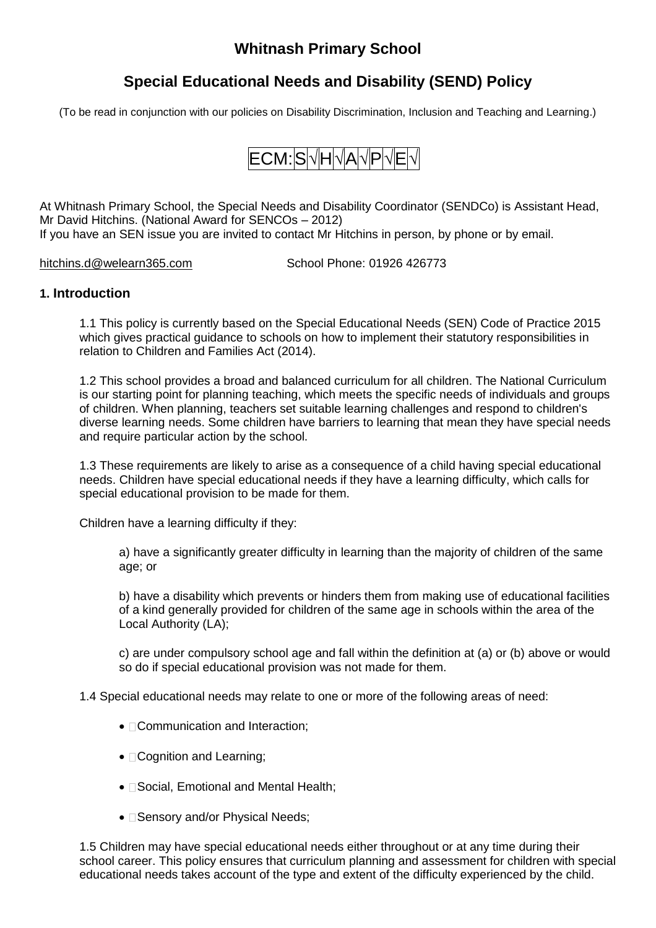# **Whitnash Primary School**

# **Special Educational Needs and Disability (SEND) Policy**

(To be read in conjunction with our policies on Disability Discrimination, Inclusion and Teaching and Learning.)

# **ECM: S** √ H √ A √ P √ E √

At Whitnash Primary School, the Special Needs and Disability Coordinator (SENDCo) is Assistant Head, Mr David Hitchins. (National Award for SENCOs – 2012) If you have an SEN issue you are invited to contact Mr Hitchins in person, by phone or by email.

[hitchins.d@welearn365.com](mailto:hitchins.d@welearn365.com) School Phone: 01926 426773

### **1. Introduction**

1.1 This policy is currently based on the Special Educational Needs (SEN) Code of Practice 2015 which gives practical guidance to schools on how to implement their statutory responsibilities in relation to Children and Families Act (2014).

1.2 This school provides a broad and balanced curriculum for all children. The National Curriculum is our starting point for planning teaching, which meets the specific needs of individuals and groups of children. When planning, teachers set suitable learning challenges and respond to children's diverse learning needs. Some children have barriers to learning that mean they have special needs and require particular action by the school.

1.3 These requirements are likely to arise as a consequence of a child having special educational needs. Children have special educational needs if they have a learning difficulty, which calls for special educational provision to be made for them.

Children have a learning difficulty if they:

a) have a significantly greater difficulty in learning than the majority of children of the same age; or

b) have a disability which prevents or hinders them from making use of educational facilities of a kind generally provided for children of the same age in schools within the area of the Local Authority (LA);

c) are under compulsory school age and fall within the definition at (a) or (b) above or would so do if special educational provision was not made for them.

1.4 Special educational needs may relate to one or more of the following areas of need:

- Communication and Interaction;
- Cognition and Learning;
- **Social, Emotional and Mental Health;**
- **Sensory and/or Physical Needs;**

1.5 Children may have special educational needs either throughout or at any time during their school career. This policy ensures that curriculum planning and assessment for children with special educational needs takes account of the type and extent of the difficulty experienced by the child.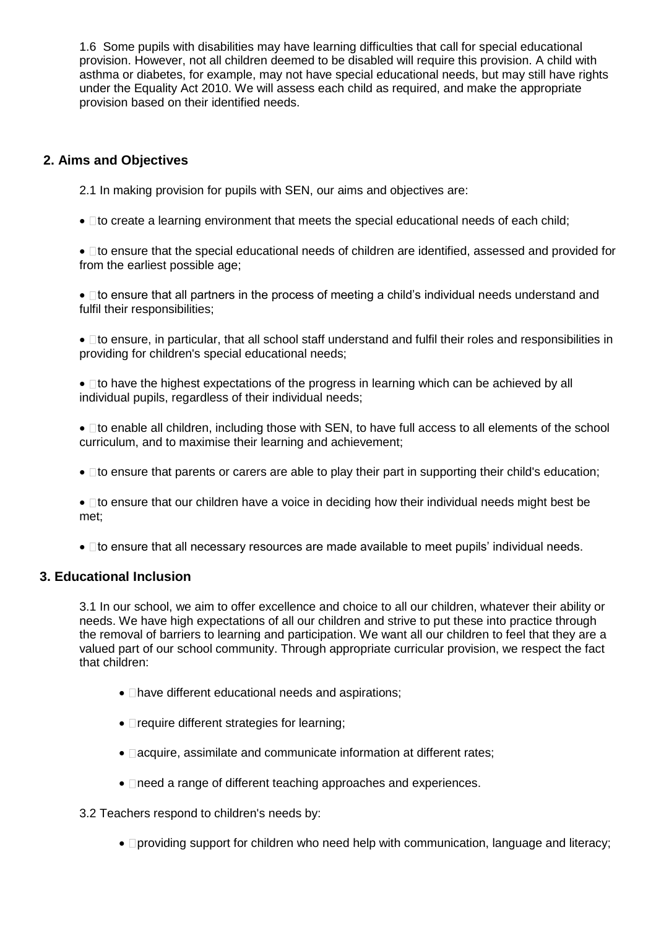1.6 Some pupils with disabilities may have learning difficulties that call for special educational provision. However, not all children deemed to be disabled will require this provision. A child with asthma or diabetes, for example, may not have special educational needs, but may still have rights under the Equality Act 2010. We will assess each child as required, and make the appropriate provision based on their identified needs.

# **2. Aims and Objectives**

2.1 In making provision for pupils with SEN, our aims and objectives are:

 $\bullet$   $\Box$  to create a learning environment that meets the special educational needs of each child;

• Ito ensure that the special educational needs of children are identified, assessed and provided for from the earliest possible age;

•  $\Box$  to ensure that all partners in the process of meeting a child's individual needs understand and fulfil their responsibilities;

 $\bullet$   $\Box$  to ensure, in particular, that all school staff understand and fulfil their roles and responsibilities in providing for children's special educational needs;

 $\bullet$   $\Box$  to have the highest expectations of the progress in learning which can be achieved by all individual pupils, regardless of their individual needs;

•  $\Box$  to enable all children, including those with SEN, to have full access to all elements of the school curriculum, and to maximise their learning and achievement;

 $\bullet$   $\Box$  to ensure that parents or carers are able to play their part in supporting their child's education;

 $\bullet$   $\Box$  to ensure that our children have a voice in deciding how their individual needs might best be met;

•  $\Box$  to ensure that all necessary resources are made available to meet pupils' individual needs.

### **3. Educational Inclusion**

3.1 In our school, we aim to offer excellence and choice to all our children, whatever their ability or needs. We have high expectations of all our children and strive to put these into practice through the removal of barriers to learning and participation. We want all our children to feel that they are a valued part of our school community. Through appropriate curricular provision, we respect the fact that children:

- $\Box$  have different educational needs and aspirations;
- $\bullet$   $\Box$  require different strategies for learning;
- **Dacquire, assimilate and communicate information at different rates;**
- **Ineed a range of different teaching approaches and experiences.**

3.2 Teachers respond to children's needs by:

• **providing support for children who need help with communication, language and literacy;**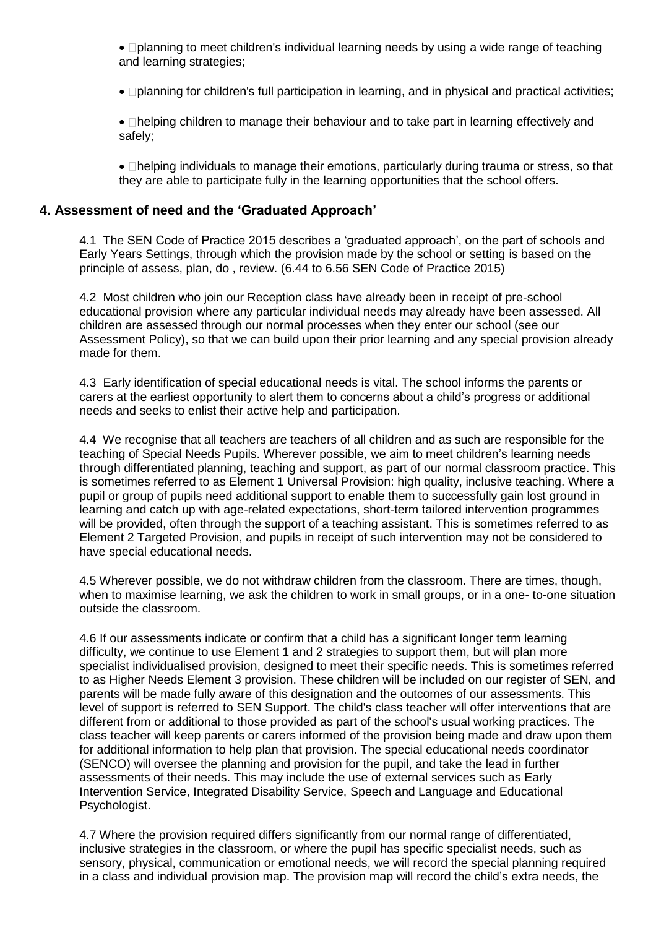• **I**planning to meet children's individual learning needs by using a wide range of teaching and learning strategies;

• **planning for children's full participation in learning, and in physical and practical activities;** 

• **Dhelping children to manage their behaviour and to take part in learning effectively and** safely;

• **Indelping individuals to manage their emotions, particularly during trauma or stress, so that** they are able to participate fully in the learning opportunities that the school offers.

# **4. Assessment of need and the 'Graduated Approach'**

4.1 The SEN Code of Practice 2015 describes a 'graduated approach', on the part of schools and Early Years Settings, through which the provision made by the school or setting is based on the principle of assess, plan, do , review. (6.44 to 6.56 SEN Code of Practice 2015)

4.2 Most children who join our Reception class have already been in receipt of pre-school educational provision where any particular individual needs may already have been assessed. All children are assessed through our normal processes when they enter our school (see our Assessment Policy), so that we can build upon their prior learning and any special provision already made for them.

4.3 Early identification of special educational needs is vital. The school informs the parents or carers at the earliest opportunity to alert them to concerns about a child's progress or additional needs and seeks to enlist their active help and participation.

4.4 We recognise that all teachers are teachers of all children and as such are responsible for the teaching of Special Needs Pupils. Wherever possible, we aim to meet children's learning needs through differentiated planning, teaching and support, as part of our normal classroom practice. This is sometimes referred to as Element 1 Universal Provision: high quality, inclusive teaching. Where a pupil or group of pupils need additional support to enable them to successfully gain lost ground in learning and catch up with age-related expectations, short-term tailored intervention programmes will be provided, often through the support of a teaching assistant. This is sometimes referred to as Element 2 Targeted Provision, and pupils in receipt of such intervention may not be considered to have special educational needs.

4.5 Wherever possible, we do not withdraw children from the classroom. There are times, though, when to maximise learning, we ask the children to work in small groups, or in a one- to-one situation outside the classroom.

4.6 If our assessments indicate or confirm that a child has a significant longer term learning difficulty, we continue to use Element 1 and 2 strategies to support them, but will plan more specialist individualised provision, designed to meet their specific needs. This is sometimes referred to as Higher Needs Element 3 provision. These children will be included on our register of SEN, and parents will be made fully aware of this designation and the outcomes of our assessments. This level of support is referred to SEN Support. The child's class teacher will offer interventions that are different from or additional to those provided as part of the school's usual working practices. The class teacher will keep parents or carers informed of the provision being made and draw upon them for additional information to help plan that provision. The special educational needs coordinator (SENCO) will oversee the planning and provision for the pupil, and take the lead in further assessments of their needs. This may include the use of external services such as Early Intervention Service, Integrated Disability Service, Speech and Language and Educational Psychologist.

4.7 Where the provision required differs significantly from our normal range of differentiated, inclusive strategies in the classroom, or where the pupil has specific specialist needs, such as sensory, physical, communication or emotional needs, we will record the special planning required in a class and individual provision map. The provision map will record the child's extra needs, the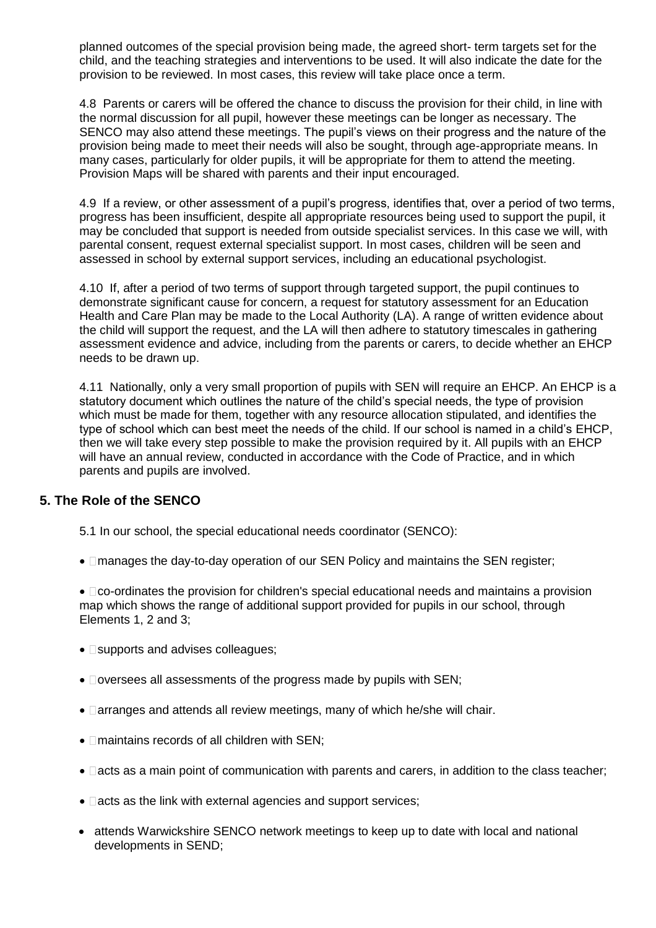planned outcomes of the special provision being made, the agreed short- term targets set for the child, and the teaching strategies and interventions to be used. It will also indicate the date for the provision to be reviewed. In most cases, this review will take place once a term.

4.8 Parents or carers will be offered the chance to discuss the provision for their child, in line with the normal discussion for all pupil, however these meetings can be longer as necessary. The SENCO may also attend these meetings. The pupil's views on their progress and the nature of the provision being made to meet their needs will also be sought, through age-appropriate means. In many cases, particularly for older pupils, it will be appropriate for them to attend the meeting. Provision Maps will be shared with parents and their input encouraged.

4.9 If a review, or other assessment of a pupil's progress, identifies that, over a period of two terms, progress has been insufficient, despite all appropriate resources being used to support the pupil, it may be concluded that support is needed from outside specialist services. In this case we will, with parental consent, request external specialist support. In most cases, children will be seen and assessed in school by external support services, including an educational psychologist.

4.10 If, after a period of two terms of support through targeted support, the pupil continues to demonstrate significant cause for concern, a request for statutory assessment for an Education Health and Care Plan may be made to the Local Authority (LA). A range of written evidence about the child will support the request, and the LA will then adhere to statutory timescales in gathering assessment evidence and advice, including from the parents or carers, to decide whether an EHCP needs to be drawn up.

4.11 Nationally, only a very small proportion of pupils with SEN will require an EHCP. An EHCP is a statutory document which outlines the nature of the child's special needs, the type of provision which must be made for them, together with any resource allocation stipulated, and identifies the type of school which can best meet the needs of the child. If our school is named in a child's EHCP, then we will take every step possible to make the provision required by it. All pupils with an EHCP will have an annual review, conducted in accordance with the Code of Practice, and in which parents and pupils are involved.

# **5. The Role of the SENCO**

5.1 In our school, the special educational needs coordinator (SENCO):

• Imanages the day-to-day operation of our SEN Policy and maintains the SEN register;

 $\bullet$   $\Box$ co-ordinates the provision for children's special educational needs and maintains a provision map which shows the range of additional support provided for pupils in our school, through Elements 1, 2 and 3;

- $\square$  supports and advises colleagues;
- $\bullet$   $\Box$  oversees all assessments of the progress made by pupils with SEN;
- **Darranges and attends all review meetings, many of which he/she will chair.**
- $\bullet$   $\Box$  maintains records of all children with SEN;
- $\Box$  acts as a main point of communication with parents and carers, in addition to the class teacher;
- $\bullet$   $\Box$  acts as the link with external agencies and support services;
- attends Warwickshire SENCO network meetings to keep up to date with local and national developments in SEND;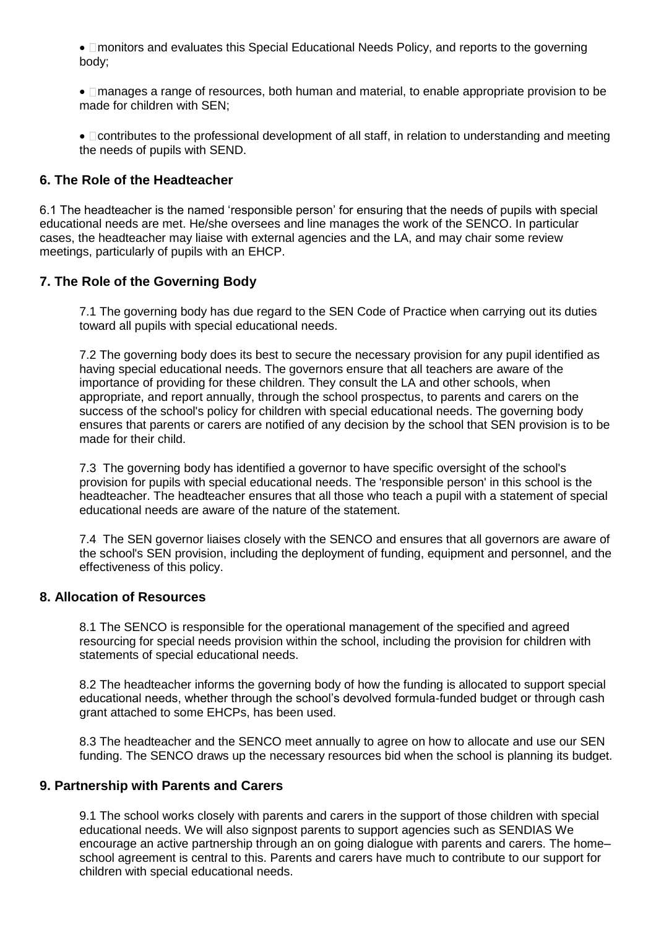• Imonitors and evaluates this Special Educational Needs Policy, and reports to the governing body;

 manages a range of resources, both human and material, to enable appropriate provision to be made for children with SEN;

 $\bullet$   $\Box$  contributes to the professional development of all staff, in relation to understanding and meeting the needs of pupils with SEND.

### **6. The Role of the Headteacher**

6.1 The headteacher is the named 'responsible person' for ensuring that the needs of pupils with special educational needs are met. He/she oversees and line manages the work of the SENCO. In particular cases, the headteacher may liaise with external agencies and the LA, and may chair some review meetings, particularly of pupils with an EHCP.

# **7. The Role of the Governing Body**

7.1 The governing body has due regard to the SEN Code of Practice when carrying out its duties toward all pupils with special educational needs.

7.2 The governing body does its best to secure the necessary provision for any pupil identified as having special educational needs. The governors ensure that all teachers are aware of the importance of providing for these children. They consult the LA and other schools, when appropriate, and report annually, through the school prospectus, to parents and carers on the success of the school's policy for children with special educational needs. The governing body ensures that parents or carers are notified of any decision by the school that SEN provision is to be made for their child.

7.3 The governing body has identified a governor to have specific oversight of the school's provision for pupils with special educational needs. The 'responsible person' in this school is the headteacher. The headteacher ensures that all those who teach a pupil with a statement of special educational needs are aware of the nature of the statement.

7.4 The SEN governor liaises closely with the SENCO and ensures that all governors are aware of the school's SEN provision, including the deployment of funding, equipment and personnel, and the effectiveness of this policy.

# **8. Allocation of Resources**

8.1 The SENCO is responsible for the operational management of the specified and agreed resourcing for special needs provision within the school, including the provision for children with statements of special educational needs.

8.2 The headteacher informs the governing body of how the funding is allocated to support special educational needs, whether through the school's devolved formula-funded budget or through cash grant attached to some EHCPs, has been used.

8.3 The headteacher and the SENCO meet annually to agree on how to allocate and use our SEN funding. The SENCO draws up the necessary resources bid when the school is planning its budget.

#### **9. Partnership with Parents and Carers**

9.1 The school works closely with parents and carers in the support of those children with special educational needs. We will also signpost parents to support agencies such as SENDIAS We encourage an active partnership through an on going dialogue with parents and carers. The home– school agreement is central to this. Parents and carers have much to contribute to our support for children with special educational needs.